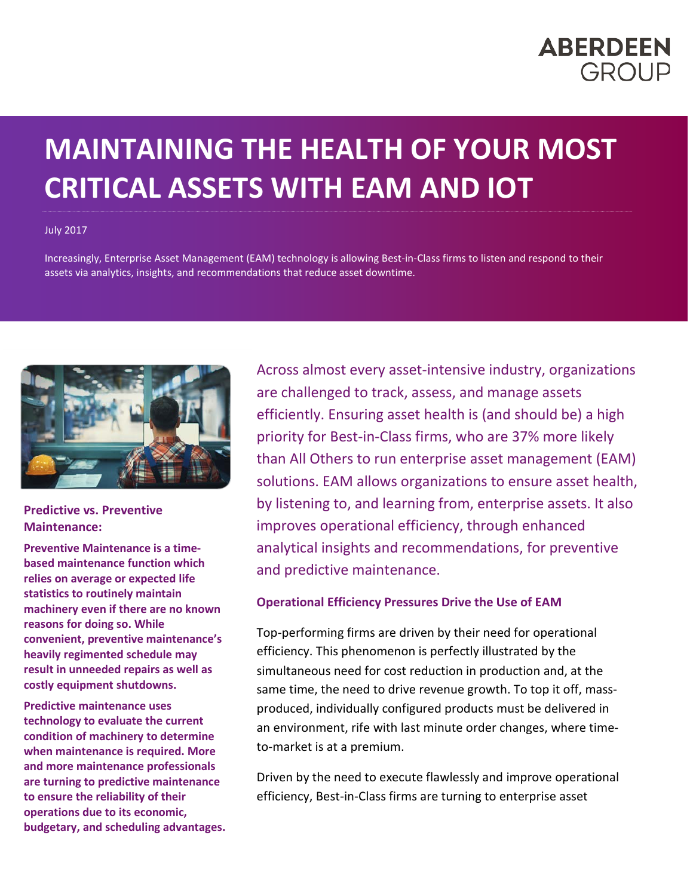# **ABERDEEN GROUP**

# **MAINTAINING THE HEALTH OF YOUR MOST CRITICAL ASSETS WITH EAM AND IOT**

#### July 2017

Increasingly, Enterprise Asset Management (EAM) technology is allowing Best-in-Class firms to listen and respond to their assets via analytics, insights, and recommendations that reduce asset downtime.



#### **Predictive vs. Preventive Maintenance:**

**Preventive Maintenance is a timebased maintenance function which relies on average or expected life statistics to routinely maintain machinery even if there are no known reasons for doing so. While convenient, preventive maintenance's heavily regimented schedule may result in unneeded repairs as well as costly equipment shutdowns.**

**Predictive maintenance uses technology to evaluate the current condition of machinery to determine when maintenance is required. More and more maintenance professionals are turning to predictive maintenance to ensure the reliability of their operations due to its economic, budgetary, and scheduling advantages.** Across almost every asset-intensive industry, organizations are challenged to track, assess, and manage assets efficiently. Ensuring asset health is (and should be) a high priority for Best-in-Class firms, who are 37% more likely than All Others to run enterprise asset management (EAM) solutions. EAM allows organizations to ensure asset health, by listening to, and learning from, enterprise assets. It also improves operational efficiency, through enhanced analytical insights and recommendations, for preventive and predictive maintenance.

#### **Operational Efficiency Pressures Drive the Use of EAM**

Top-performing firms are driven by their need for operational efficiency. This phenomenon is perfectly illustrated by the simultaneous need for cost reduction in production and, at the same time, the need to drive revenue growth. To top it off, massproduced, individually configured products must be delivered in an environment, rife with last minute order changes, where timeto-market is at a premium.

Driven by the need to execute flawlessly and improve operational efficiency, Best-in-Class firms are turning to enterprise asset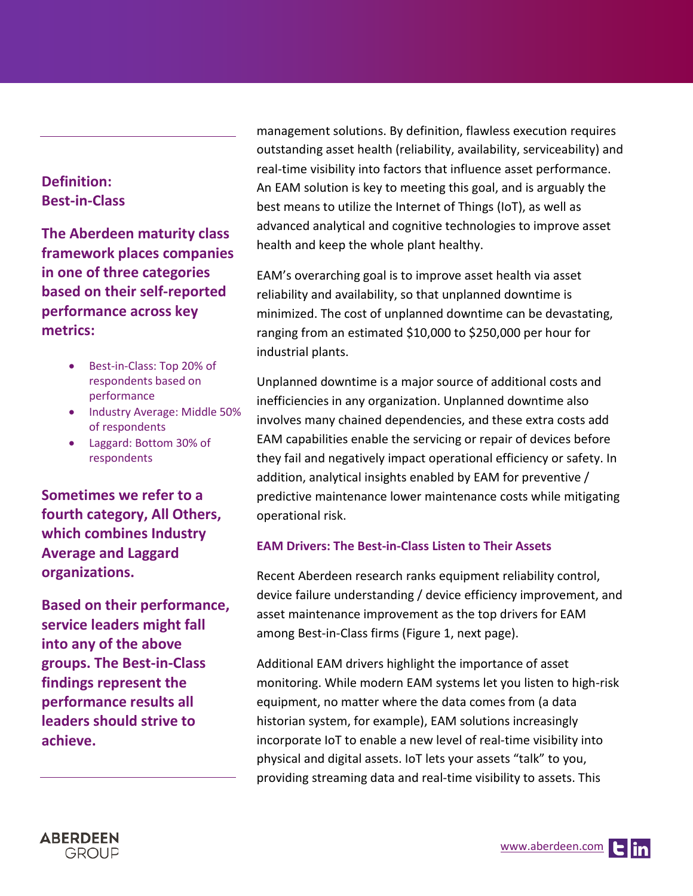### **Definition: Best-in-Class**

**The Aberdeen maturity class framework places companies in one of three categories based on their self-reported performance across key metrics:**

- Best-in-Class: Top 20% of respondents based on performance
- Industry Average: Middle 50% of respondents
- Laggard: Bottom 30% of respondents

**Sometimes we refer to a fourth category, All Others, which combines Industry Average and Laggard organizations.**

**Based on their performance, service leaders might fall into any of the above groups. The Best-in-Class findings represent the performance results all leaders should strive to achieve.**

management solutions. By definition, flawless execution requires outstanding asset health (reliability, availability, serviceability) and real-time visibility into factors that influence asset performance. An EAM solution is key to meeting this goal, and is arguably the best means to utilize the Internet of Things (IoT), as well as advanced analytical and cognitive technologies to improve asset health and keep the whole plant healthy.

EAM's overarching goal is to improve asset health via asset reliability and availability, so that unplanned downtime is minimized. The cost of unplanned downtime can be devastating, ranging from an estimated \$10,000 to \$250,000 per hour for industrial plants.

Unplanned downtime is a major source of additional costs and inefficiencies in any organization. Unplanned downtime also involves many chained dependencies, and these extra costs add EAM capabilities enable the servicing or repair of devices before they fail and negatively impact operational efficiency or safety. In addition, analytical insights enabled by EAM for preventive / predictive maintenance lower maintenance costs while mitigating operational risk.

#### **EAM Drivers: The Best-in-Class Listen to Their Assets**

Recent Aberdeen research ranks equipment reliability control, device failure understanding / device efficiency improvement, and asset maintenance improvement as the top drivers for EAM among Best-in-Class firms (Figure 1, next page).

Additional EAM drivers highlight the importance of asset monitoring. While modern EAM systems let you listen to high-risk equipment, no matter where the data comes from (a data historian system, for example), EAM solutions increasingly incorporate IoT to enable a new level of real-time visibility into physical and digital assets. IoT lets your assets "talk" to you, providing streaming data and real-time visibility to assets. This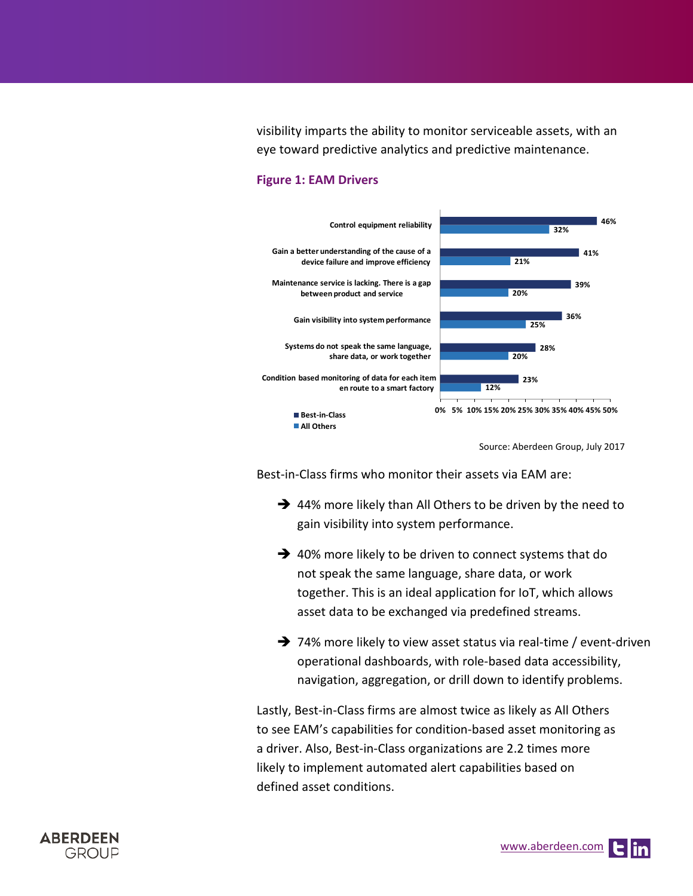visibility imparts the ability to monitor serviceable assets, with an eye toward predictive analytics and predictive maintenance.

#### **Figure 1: EAM Drivers**



Source: Aberdeen Group, July 2017

Best-in-Class firms who monitor their assets via EAM are:

- → 44% more likely than All Others to be driven by the need to gain visibility into system performance.
- → 40% more likely to be driven to connect systems that do not speak the same language, share data, or work together. This is an ideal application for IoT, which allows asset data to be exchanged via predefined streams.
- → 74% more likely to view asset status via real-time / event-driven operational dashboards, with role-based data accessibility, navigation, aggregation, or drill down to identify problems.

Lastly, Best-in-Class firms are almost twice as likely as All Others to see EAM's capabilities for condition-based asset monitoring as a driver. Also, Best-in-Class organizations are 2.2 times more likely to implement automated alert capabilities based on defined asset conditions.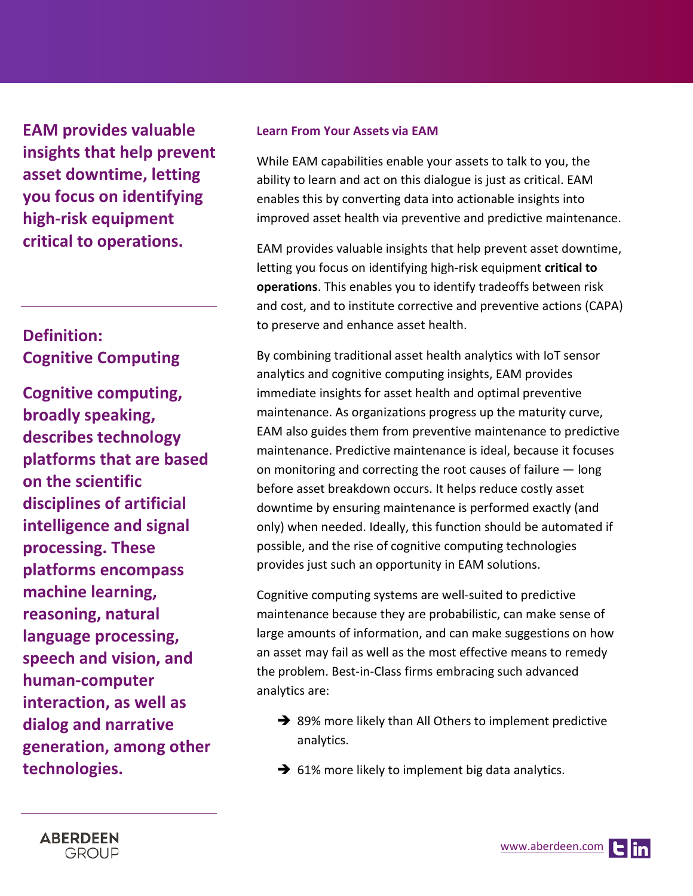**EAM provides valuable insights that help prevent asset downtime, letting you focus on identifying high-risk equipment critical to operations.** 

## **Definition: Cognitive Computing**

**Cognitive computing, broadly speaking, describes technology platforms that are based on the scientific disciplines of artificial intelligence and signal processing. These platforms encompass machine learning, reasoning, natural language processing, speech and vision, and human-computer interaction, as well as dialog and narrative generation, among other technologies.**

**ABERDEEN** 

**GROUP** 

#### **Learn From Your Assets via EAM**

While EAM capabilities enable your assets to talk to you, the ability to learn and act on this dialogue is just as critical. EAM enables this by converting data into actionable insights into improved asset health via preventive and predictive maintenance.

EAM provides valuable insights that help prevent asset downtime, letting you focus on identifying high-risk equipment **critical to operations**. This enables you to identify tradeoffs between risk and cost, and to institute corrective and preventive actions (CAPA) to preserve and enhance asset health.

By combining traditional asset health analytics with IoT sensor analytics and cognitive computing insights, EAM provides immediate insights for asset health and optimal preventive maintenance. As organizations progress up the maturity curve, EAM also guides them from preventive maintenance to predictive maintenance. Predictive maintenance is ideal, because it focuses on monitoring and correcting the root causes of failure — long before asset breakdown occurs. It helps reduce costly asset downtime by ensuring maintenance is performed exactly (and only) when needed. Ideally, this function should be automated if possible, and the rise of cognitive computing technologies provides just such an opportunity in EAM solutions.

Cognitive computing systems are well-suited to predictive maintenance because they are probabilistic, can make sense of large amounts of information, and can make suggestions on how an asset may fail as well as the most effective means to remedy the problem. Best-in-Class firms embracing such advanced analytics are:

- **→** 89% more likely than All Others to implement predictive analytics.
- $\rightarrow$  61% more likely to implement big data analytics.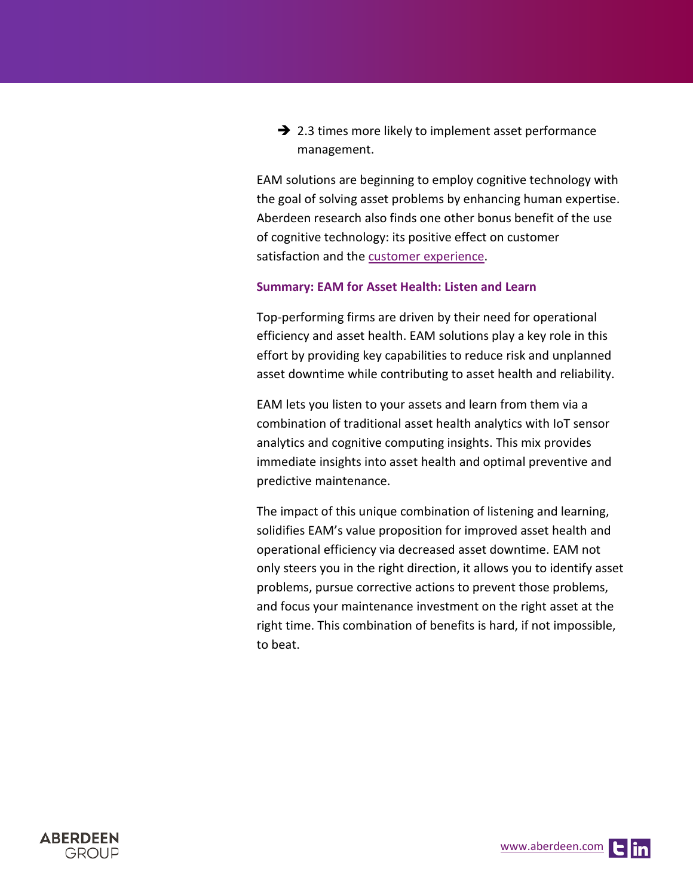$\rightarrow$  2.3 times more likely to implement asset performance management.

EAM solutions are beginning to employ cognitive technology with the goal of solving asset problems by enhancing human expertise. Aberdeen research also finds one other bonus benefit of the use of cognitive technology: its positive effect on customer satisfaction and the [customer experience.](http://aberdeen.com/research/15477/15477-rr-cognitive-cx/content.aspx)

#### **Summary: EAM for Asset Health: Listen and Learn**

Top-performing firms are driven by their need for operational efficiency and asset health. EAM solutions play a key role in this effort by providing key capabilities to reduce risk and unplanned asset downtime while contributing to asset health and reliability.

EAM lets you listen to your assets and learn from them via a combination of traditional asset health analytics with IoT sensor analytics and cognitive computing insights. This mix provides immediate insights into asset health and optimal preventive and predictive maintenance.

The impact of this unique combination of listening and learning, solidifies EAM's value proposition for improved asset health and operational efficiency via decreased asset downtime. EAM not only steers you in the right direction, it allows you to identify asset problems, pursue corrective actions to prevent those problems, and focus your maintenance investment on the right asset at the right time. This combination of benefits is hard, if not impossible, to beat.